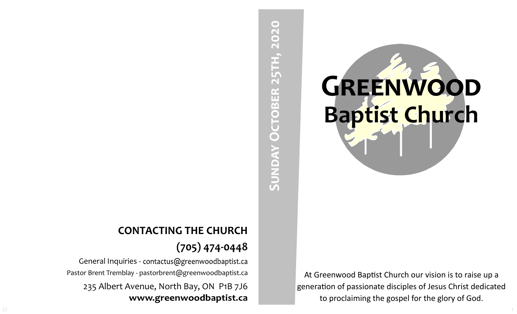# SUNDAY OCTOBER 25TH, 2020 **Sunday October 25th, 2020**

At Greenwood Baptist Church our vision is to raise up a generation of passionate disciples of Jesus Christ dedicated to proclaiming the gospel for the glory of God.

**GREENWOOD** 

**Baptist Church**

# **CONTACTING THE CHURCH (705) 474-0448**

General Inquiries - contactus@greenwoodbaptist.ca Pastor Brent Tremblay - pastorbrent@greenwoodbaptist.ca 235 Albert Avenue, North Bay, ON P1B 7J6 www.greenwoodbaptist.ca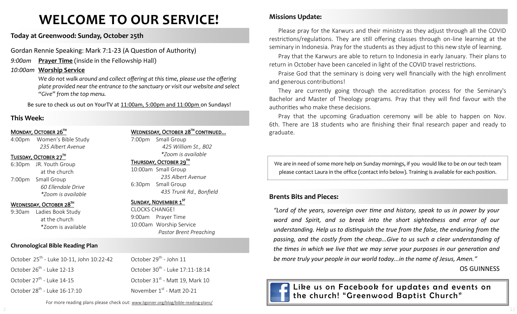# **WELCOME TO OUR SERVICE!**

**Today at Greenwood: Sunday, October 25th**

Gordan Rennie Speaking: Mark 7:1-23 (A Question of Authority)

*9:00am* **Prayer Time** (inside in the Fellowship Hall)

#### *10:00am* **Worship Service**

We do not walk around and collect offering at this time, please use the offering *plate provided near the entrance to the sanctuary or visit our website and select "Give" from the top menu.*

Be sure to check us out on YourTV at 11:00am, 5:00pm and 11:00pm on Sundays!

# **This Week:**

#### MONDAY, OCTOBER 26TH

4:00pm Women's Bible Study *235 Albert Avenue*

#### TUESDAY, OCTOBER 27TH

6:30pm JR. Youth Group at the church 7:00pm Small Group *60 Ellendale Drive \*Zoom is available*

#### WEDNESDAY, OCTOBER 28TH

9:30am Ladies Book Study at the church \*Zoom is available

## **Chronological Bible Reading Plan**

October 25<sup>th</sup> - Luke 10-11, John 10:22-42 October 26<sup>th</sup> - Luke 12-13 October 27<sup>th</sup> - Luke 14-15 October 28<sup>th</sup> - Luke 16-17:10

WEDNESDAY, OCTOBER 28<sup>TH</sup> CONTINUED...

7:00pm Small Group *425 William St., B02 \*Zoom is available* 

#### THURSDAY, OCTOBER 29TH

10:00am Small Group *235 Albert Avenue* 6:30pm Small Group *435 Trunk Rd., Bonfield*

#### Sunday, November 1st

October 29<sup>th</sup> - John 11

October 30<sup>th</sup> - Luke 17:11-18:14

October  $31<sup>st</sup>$  - Matt 19, Mark 10

November 1st - Matt 20-21

CLOCKS CHANGE! 9:00am Prayer Time 10:00am Worship Service *Pastor Brent Preaching* **Missions Update:**

Please pray for the Karwurs and their ministry as they adjust through all the COVID restrictions/regulations. They are still offering classes through on-line learning at the seminary in Indonesia. Pray for the students as they adjust to this new style of learning.

Pray that the Karwurs are able to return to Indonesia in early January. Their plans to return in October have been canceled in light of the COVID travel restrictions.

Praise God that the seminary is doing very well financially with the high enrollment and generous contributions!

They are currently going through the accreditation process for the Seminary's Bachelor and Master of Theology programs. Pray that they will find favour with the authorities who make these decisions.

Pray that the upcoming Graduation ceremony will be able to happen on Nov. 6th. There are 18 students who are finishing their final research paper and ready to graduate.

We are in need of some more help on Sunday mornings, if you would like to be on our tech team please contact Laura in the office (contact info below). Training is available for each position.

# **Brents Bits and Pieces:**

*"Lord of the years, sovereign over time and history, speak to us in power by your word and Spirit, and so break into the short sightedness and error of our understanding. Help us to distinguish the true from the false, the enduring from the passing, and the costly from the cheap...Give to us such a clear understanding of the times in which we live that we may serve your purposes in our generation and be more truly your people in our world today...in the name of Jesus, Amen."* 

# OS GUINNESS



Like us on Facebook for updates and events on the church! "Greenwood Baptist Church"

For more reading plans please check out: www.ligonier.org/blog/bible-reading-plans/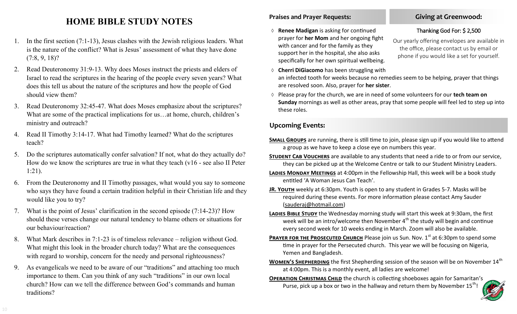# **HOME BIBLE STUDY NOTES**

- 1. In the first section (7:1-13), Jesus clashes with the Jewish religious leaders. What is the nature of the conflict? What is Jesus' assessment of what they have done (7:8, 9, 18)?
- 2. Read Deuteronomy 31:9-13. Why does Moses instruct the priests and elders of Israel to read the scriptures in the hearing of the people every seven years? What does this tell us about the nature of the scriptures and how the people of God should view them?
- 3. Read Deuteronomy 32:45-47. What does Moses emphasize about the scriptures? What are some of the practical implications for us…at home, church, children's ministry and outreach?
- 4. Read II Timothy 3:14-17. What had Timothy learned? What do the scriptures teach?
- 5. Do the scriptures automatically confer salvation? If not, what do they actually do? How do we know the scriptures are true in what they teach (v16 - see also II Peter 1:21).
- 6. From the Deuteronomy and II Timothy passages, what would you say to someone who says they have found a certain tradition helpful in their Christian life and they would like you to try?
- What is the point of Jesus' clarification in the second episode  $(7:14-23)$ ? How should these verses change our natural tendency to blame others or situations for our behaviour/reaction?
- 8. What Mark describes in 7:1-23 is of timeless relevance religion without God. What might this look in the broader church today? What are the consequences with regard to worship, concern for the needy and personal righteousness?
- 9. As evangelicals we need to be aware of our "traditions" and attaching too much importance to them. Can you think of any such "traditions" in our own local church? How can we tell the difference between God's commands and human traditions?

# **Praises and Prayer Requests:**

- **Renee Madigan** is asking for continued prayer for **her Mom** and her ongoing fight with cancer and for the family as they support her in the hospital, she also asks specifically for her own spiritual wellbeing.
- **Cherri DiGiacomo** has been struggling with an infected tooth for weeks because no remedies seem to be helping, prayer that things are resolved soon. Also, prayer for **her sister**.
- Please pray for the church, we are in need of some volunteers for our **tech team on Sunday** mornings as well as other areas, pray that some people will feel led to step up into these roles.

# **Upcoming Events:**

- **SMALL GROUPS** are running, there is still time to join, please sign up if you would like to attend a group as we have to keep a close eye on numbers this year.
- **Student Cab Vouchers** are available to any students that need a ride to or from our service, they can be picked up at the Welcome Centre or talk to our Student Ministry Leaders.
- **Ladies Monday Meetings** at 4:00pm in the Fellowship Hall, this week will be a book study entitled 'A Woman Jesus Can Teach'.
- **JR. Youth** weekly at 6:30pm. Youth is open to any student in Grades 5-7. Masks will be required during these events. For more information please contact Amy Sauder (sauderaj@hotmail.com)
- **LADIES BIBLE STUDY** the Wednesday morning study will start this week at 9:30am, the first week will be an intro/welcome then November  $4<sup>th</sup>$  the study will begin and continue every second week for 10 weeks ending in March. Zoom will also be available.
- **PRAYER FOR THE PROSECUTED CHURCH** Please join us Sun. Nov. 1<sup>st</sup> at 6:30pm to spend some time in prayer for the Persecuted church. This year we will be focusing on Nigeria, Yemen and Bangladesh.
- **WOMEN'S SHEPHERDING** the first Shepherding session of the season will be on November 14<sup>th</sup> at 4:00pm. This is a monthly event, all ladies are welcome!
- **OPERATION CHRISTMAS CHILD** the church is collecting shoeboxes again for Samaritan's Purse, pick up a box or two in the hallway and return them by November  $15^{th}$ !



# **Giving at Greenwood:**

# Thanking God For: \$ 2,500

Our yearly offering envelopes are available in the office, please contact us by email or phone if you would like a set for yourself.